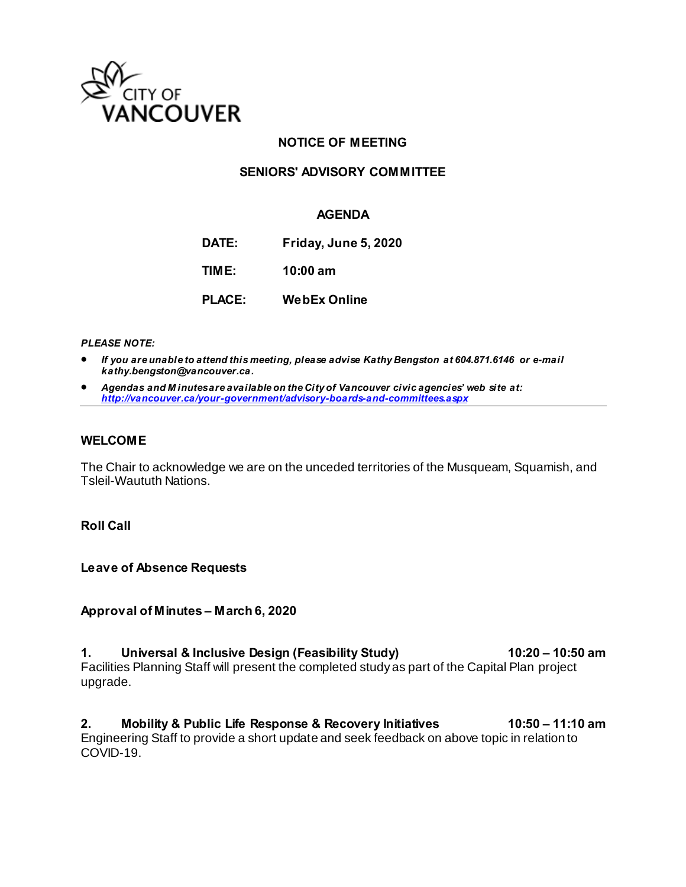

### **NOTICE OF MEETING**

### **SENIORS' ADVISORY COMMITTEE**

### **AGENDA**

**DATE: Friday, June 5, 2020**

**TIME: 10:00 am**

**PLACE: WebEx Online**

*PLEASE NOTE:* 

- *If you are unable to attend this meeting, please advise Kathy Bengston at 604.871.6146 or e-mail kathy.bengston@vancouver.ca.*
- *Agendas and M inutes are available on the City of Vancouver civic agencies' web site at: <http://vancouver.ca/your-government/advisory-boards-and-committees.aspx>*

#### **WELCOME**

The Chair to acknowledge we are on the unceded territories of the Musqueam, Squamish, and Tsleil-Waututh Nations.

**Roll Call** 

**Leave of Absence Requests** 

**Approval of Minutes – March 6, 2020** 

1. Universal & Inclusive Design (Feasibility Study) 10:20 - 10:50 am Facilities Planning Staff will present the completed study as part of the Capital Plan project upgrade.

**2. Mobility & Public Life Response & Recovery Initiatives 10:50 – 11:10 am**  Engineering Staff to provide a short update and seek feedback on above topic in relation to COVID-19.